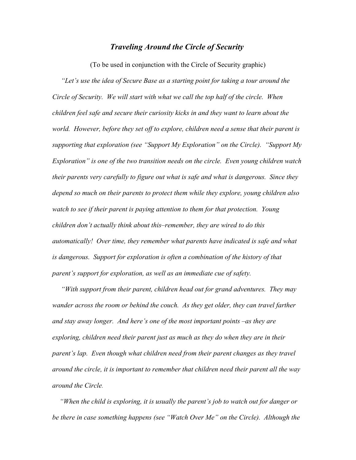## *Traveling Around the Circle of Security*

(To be used in conjunction with the Circle of Security graphic)

 *"Let's use the idea of Secure Base as a starting point for taking a tour around the Circle of Security. We will start with what we call the top half of the circle. When children feel safe and secure their curiosity kicks in and they want to learn about the world. However, before they set off to explore, children need a sense that their parent is supporting that exploration (see "Support My Exploration" on the Circle). "Support My Exploration" is one of the two transition needs on the circle. Even young children watch their parents very carefully to figure out what is safe and what is dangerous. Since they depend so much on their parents to protect them while they explore, young children also watch to see if their parent is paying attention to them for that protection. Young children don't actually think about this–remember, they are wired to do this automatically! Over time, they remember what parents have indicated is safe and what is dangerous. Support for exploration is often a combination of the history of that parent's support for exploration, as well as an immediate cue of safety.* 

 *"With support from their parent, children head out for grand adventures. They may wander across the room or behind the couch. As they get older, they can travel farther and stay away longer. And here's one of the most important points –as they are exploring, children need their parent just as much as they do when they are in their parent's lap. Even though what children need from their parent changes as they travel around the circle, it is important to remember that children need their parent all the way around the Circle.*

 *"When the child is exploring, it is usually the parent's job to watch out for danger or be there in case something happens (see "Watch Over Me" on the Circle). Although the*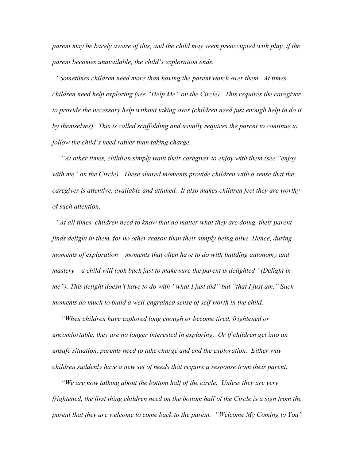*parent may be barely aware of this, and the child may seem preoccupied with play, if the parent becomes unavailable, the child's exploration ends.*

 *"Sometimes children need more than having the parent watch over them. At times children need help exploring (see "Help Me" on the Circle). This requires the caregiver to provide the necessary help without taking over (children need just enough help to do it by themselves). This is called scaffolding and usually requires the parent to continue to follow the child's need rather than taking charge.* 

 *"At other times, children simply want their caregiver to enjoy with them (see "enjoy with me" on the Circle). These shared moments provide children with a sense that the caregiver is attentive, available and attuned. It also makes children feel they are worthy of such attention.* 

 *"At all times, children need to know that no matter what they are doing, their parent finds delight in them, for no other reason than their simply being alive. Hence, during moments of exploration – moments that often have to do with building autonomy and mastery – a child will look back just to make sure the parent is delighted "(Delight in me"). This delight doesn't have to do with "what I just did" but "that I just am." Such moments do much to build a well-engrained sense of self worth in the child.*

 *"When children have explored long enough or become tired, frightened or uncomfortable, they are no longer interested in exploring. Or if children get into an unsafe situation, parents need to take charge and end the exploration. Either way children suddenly have a new set of needs that require a response from their parent.* 

 *"We are now talking about the bottom half of the circle. Unless they are very frightened, the first thing children need on the bottom half of the Circle is a sign from the parent that they are welcome to come back to the parent. "Welcome My Coming to You"*